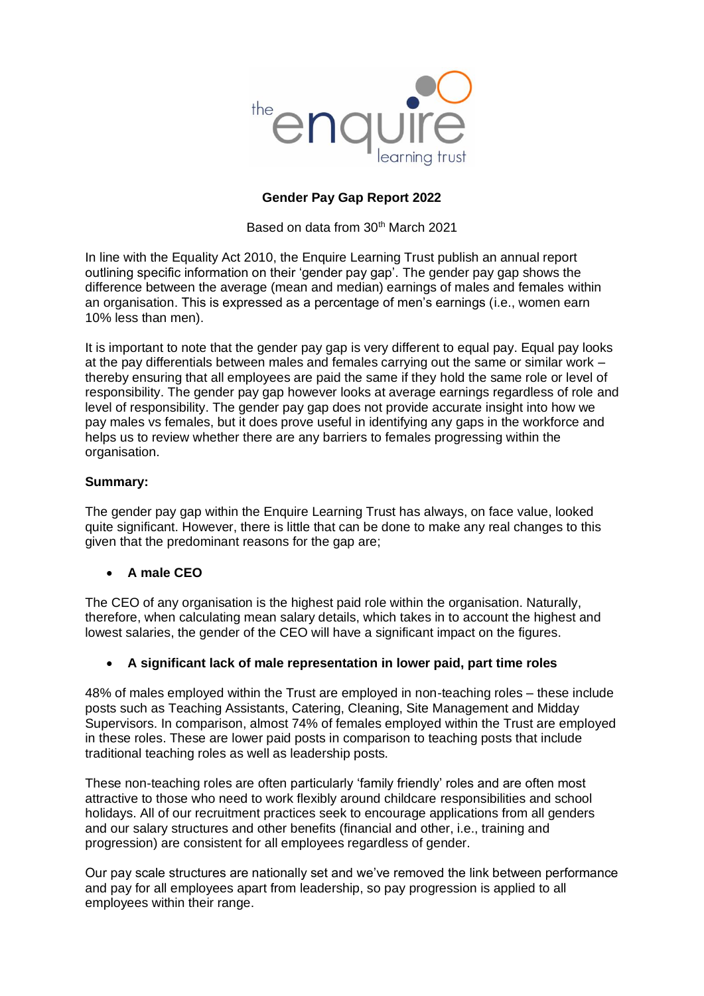

## **Gender Pay Gap Report 2022**

Based on data from 30<sup>th</sup> March 2021

In line with the Equality Act 2010, the Enquire Learning Trust publish an annual report outlining specific information on their 'gender pay gap'. The gender pay gap shows the difference between the average (mean and median) earnings of males and females within an organisation. This is expressed as a percentage of men's earnings (i.e., women earn 10% less than men).

It is important to note that the gender pay gap is very different to equal pay. Equal pay looks at the pay differentials between males and females carrying out the same or similar work – thereby ensuring that all employees are paid the same if they hold the same role or level of responsibility. The gender pay gap however looks at average earnings regardless of role and level of responsibility. The gender pay gap does not provide accurate insight into how we pay males vs females, but it does prove useful in identifying any gaps in the workforce and helps us to review whether there are any barriers to females progressing within the organisation.

## **Summary:**

The gender pay gap within the Enquire Learning Trust has always, on face value, looked quite significant. However, there is little that can be done to make any real changes to this given that the predominant reasons for the gap are;

## • **A male CEO**

The CEO of any organisation is the highest paid role within the organisation. Naturally, therefore, when calculating mean salary details, which takes in to account the highest and lowest salaries, the gender of the CEO will have a significant impact on the figures.

## • **A significant lack of male representation in lower paid, part time roles**

48% of males employed within the Trust are employed in non-teaching roles – these include posts such as Teaching Assistants, Catering, Cleaning, Site Management and Midday Supervisors. In comparison, almost 74% of females employed within the Trust are employed in these roles. These are lower paid posts in comparison to teaching posts that include traditional teaching roles as well as leadership posts.

These non-teaching roles are often particularly 'family friendly' roles and are often most attractive to those who need to work flexibly around childcare responsibilities and school holidays. All of our recruitment practices seek to encourage applications from all genders and our salary structures and other benefits (financial and other, i.e., training and progression) are consistent for all employees regardless of gender.

Our pay scale structures are nationally set and we've removed the link between performance and pay for all employees apart from leadership, so pay progression is applied to all employees within their range.